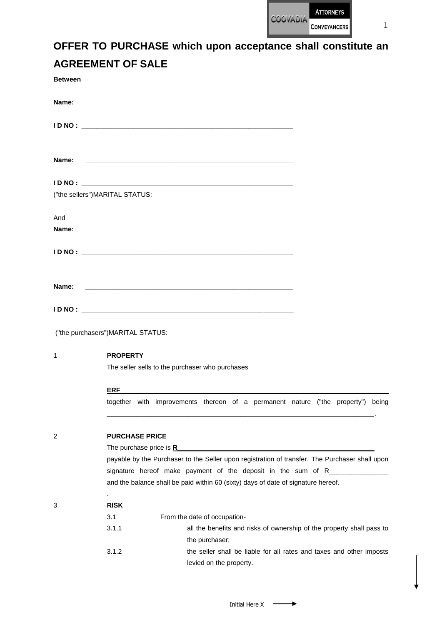

1

| <b>Between</b> |                                                                                                                                                                                                                                                                                                      |
|----------------|------------------------------------------------------------------------------------------------------------------------------------------------------------------------------------------------------------------------------------------------------------------------------------------------------|
| Name:          |                                                                                                                                                                                                                                                                                                      |
|                |                                                                                                                                                                                                                                                                                                      |
| Name:          |                                                                                                                                                                                                                                                                                                      |
|                |                                                                                                                                                                                                                                                                                                      |
|                | ("the sellers")MARITAL STATUS:                                                                                                                                                                                                                                                                       |
| And<br>Name:   | <u> 2000 - Jan Barnett, amerikansk politik (d. 1989)</u>                                                                                                                                                                                                                                             |
|                |                                                                                                                                                                                                                                                                                                      |
| Name:          |                                                                                                                                                                                                                                                                                                      |
|                |                                                                                                                                                                                                                                                                                                      |
|                | ("the purchasers")MARITAL STATUS:                                                                                                                                                                                                                                                                    |
| 1              | <b>PROPERTY</b>                                                                                                                                                                                                                                                                                      |
|                | The seller sells to the purchaser who purchases                                                                                                                                                                                                                                                      |
|                | <b>ERF</b><br><u> 1989 - Johann John Stein, markin sanadi a shekara 1980 - An an tsarani a shekara 1980 - An an tsara</u>                                                                                                                                                                            |
|                | together with improvements thereon of a permanent nature ("the property") being                                                                                                                                                                                                                      |
| 2              | <b>PURCHASE PRICE</b>                                                                                                                                                                                                                                                                                |
|                | The purchase price is $R$ and $\overline{R}$ and $\overline{R}$ are set of $\overline{R}$ and $\overline{R}$ are set of $\overline{R}$ and $\overline{R}$ are set of $\overline{R}$ and $\overline{R}$ are set of $\overline{R}$ and $\overline{R}$ are set of $\overline{R}$ and $\overline{R}$ are |
|                | payable by the Purchaser to the Seller upon registration of transfer. The Purchaser shall upon                                                                                                                                                                                                       |
|                | signature hereof make payment of the deposit in the sum of R______________<br>and the balance shall be paid within 60 (sixty) days of date of signature hereof.                                                                                                                                      |
| 3              | <b>RISK</b>                                                                                                                                                                                                                                                                                          |
|                | 3.1<br>From the date of occupation-                                                                                                                                                                                                                                                                  |
|                | 3.1.1<br>all the benefits and risks of ownership of the property shall pass to<br>the purchaser;                                                                                                                                                                                                     |
|                | 3.1.2<br>the seller shall be liable for all rates and taxes and other imposts<br>levied on the property.                                                                                                                                                                                             |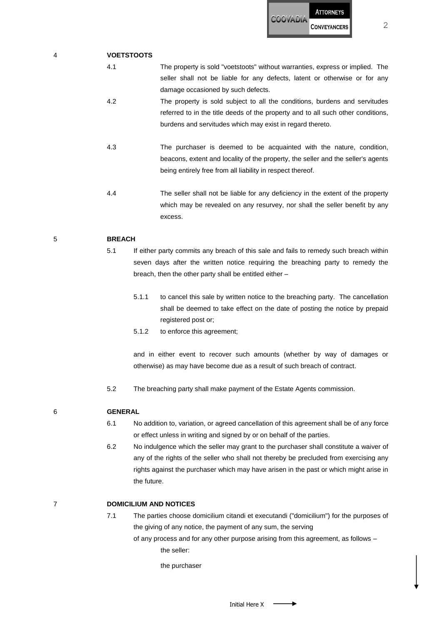

4 **VOETSTOOTS**

- 4.1 The property is sold "voetstoots" without warranties, express or implied. The seller shall not be liable for any defects, latent or otherwise or for any damage occasioned by such defects.
- 4.2 The property is sold subject to all the conditions, burdens and servitudes referred to in the title deeds of the property and to all such other conditions, burdens and servitudes which may exist in regard thereto.
- 4.3 The purchaser is deemed to be acquainted with the nature, condition, beacons, extent and locality of the property, the seller and the seller's agents being entirely free from all liability in respect thereof.
- 4.4 The seller shall not be liable for any deficiency in the extent of the property which may be revealed on any resurvey, nor shall the seller benefit by any excess.

#### 5 **BREACH**

- 5.1 If either party commits any breach of this sale and fails to remedy such breach within seven days after the written notice requiring the breaching party to remedy the breach, then the other party shall be entitled either –
	- 5.1.1 to cancel this sale by written notice to the breaching party. The cancellation shall be deemed to take effect on the date of posting the notice by prepaid registered post or;
	- 5.1.2 to enforce this agreement;

and in either event to recover such amounts (whether by way of damages or otherwise) as may have become due as a result of such breach of contract.

- 5.2 The breaching party shall make payment of the Estate Agents commission.
- 6 **GENERAL** 
	- 6.1 No addition to, variation, or agreed cancellation of this agreement shall be of any force or effect unless in writing and signed by or on behalf of the parties.
	- 6.2 No indulgence which the seller may grant to the purchaser shall constitute a waiver of any of the rights of the seller who shall not thereby be precluded from exercising any rights against the purchaser which may have arisen in the past or which might arise in the future.

# 7 **DOMICILIUM AND NOTICES**

- 7.1 The parties choose domicilium citandi et executandi ("domicilium") for the purposes of the giving of any notice, the payment of any sum, the serving
	- of any process and for any other purpose arising from this agreement, as follows the seller:

the purchaser

2